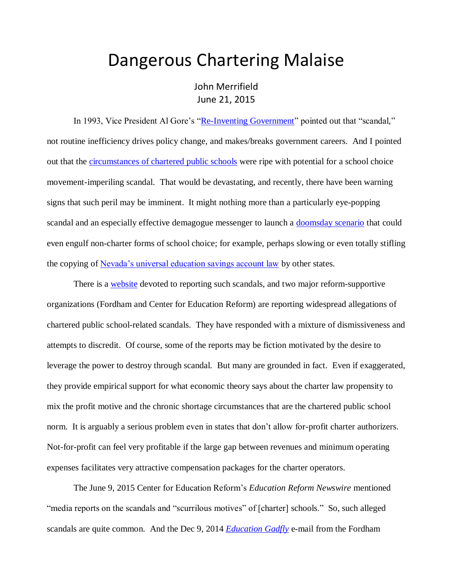## Dangerous Chartering Malaise

John Merrifield June 21, 2015

In 1993, Vice President Al Gore's ["Re-Inventing Government"](http://clinton4.nara.gov/WH/EOP/OVP/initiatives/reinventing_government.html) pointed out that "scandal," not routine inefficiency drives policy change, and makes/breaks government careers. And I pointed out that the [circumstances of chartered public schools](http://nebula.wsimg.com/f1e71809278e872970a7a52b4412d339?AccessKeyId=DA21FC8554A675E9CF7B&disposition=0&alloworigin=1) were ripe with potential for a school choice movement-imperiling scandal. That would be devastating, and recently, there have been warning signs that such peril may be imminent. It might nothing more than a particularly eye-popping scandal and an especially effective demagogue messenger to launch a [doomsday scenario](http://www.schoolsystemreformstudies.net/wp-content/uploads/2016/12/Charter-Scandal-Doomsday.pdf) that could even engulf non-charter forms of school choice; for example, perhaps slowing or even totally stifling the copying of [Nevada's universal education savings account law](http://www.schoolsystemreformstudies.net/wp-content/uploads/2016/12/Is-Nevada-an-Adequate-Ignition-Point-for-the-Spread-of-Universal-School-Choice.pdf) by other states.

There is a [website](http://charterschoolscandals.blogspot.com/) devoted to reporting such scandals, and two major reform-supportive organizations (Fordham and Center for Education Reform) are reporting widespread allegations of chartered public school-related scandals. They have responded with a mixture of dismissiveness and attempts to discredit. Of course, some of the reports may be fiction motivated by the desire to leverage the power to destroy through scandal. But many are grounded in fact. Even if exaggerated, they provide empirical support for what economic theory says about the charter law propensity to mix the profit motive and the chronic shortage circumstances that are the chartered public school norm. It is arguably a serious problem even in states that don't allow for-profit charter authorizers. Not-for-profit can feel very profitable if the large gap between revenues and minimum operating expenses facilitates very attractive compensation packages for the charter operators.

The June 9, 2015 Center for Education Reform's *Education Reform Newswire* mentioned "media reports on the scandals and "scurrilous motives" of [charter] schools." So, such alleged scandals are quite common. And the Dec 9, 2014 *[Education Gadfly](http://edexcellence.net/articles/credo-issues-another-reality-check-for-ohio-charters)* e-mail from the Fordham